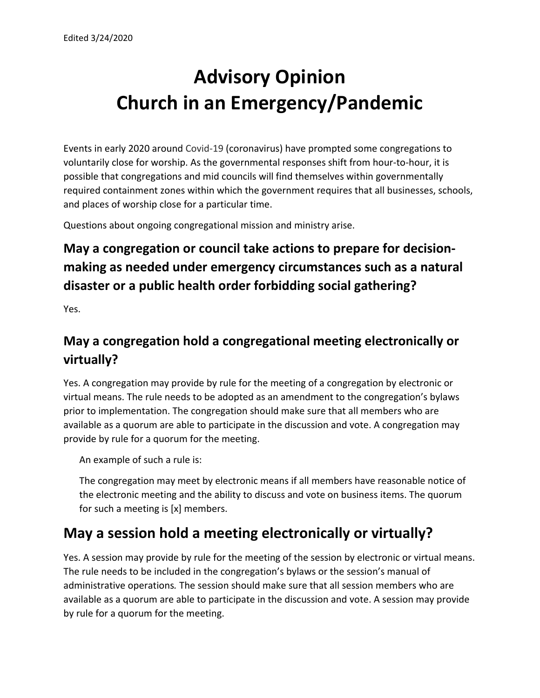# **Advisory Opinion Church in an Emergency/Pandemic**

Events in early 2020 around Covid-19 (coronavirus) have prompted some congregations to voluntarily close for worship. As the governmental responses shift from hour-to-hour, it is possible that congregations and mid councils will find themselves within governmentally required containment zones within which the government requires that all businesses, schools, and places of worship close for a particular time.

Questions about ongoing congregational mission and ministry arise.

# **May a congregation or council take actions to prepare for decisionmaking as needed under emergency circumstances such as a natural disaster or a public health order forbidding social gathering?**

Yes.

#### **May a congregation hold a congregational meeting electronically or virtually?**

Yes. A congregation may provide by rule for the meeting of a congregation by electronic or virtual means. The rule needs to be adopted as an amendment to the congregation's bylaws prior to implementation. The congregation should make sure that all members who are available as a quorum are able to participate in the discussion and vote. A congregation may provide by rule for a quorum for the meeting.

An example of such a rule is:

The congregation may meet by electronic means if all members have reasonable notice of the electronic meeting and the ability to discuss and vote on business items. The quorum for such a meeting is [x] members.

# **May a session hold a meeting electronically or virtually?**

Yes. A session may provide by rule for the meeting of the session by electronic or virtual means. The rule needs to be included in the congregation's bylaws or the session's manual of administrative operations*.* The session should make sure that all session members who are available as a quorum are able to participate in the discussion and vote. A session may provide by rule for a quorum for the meeting.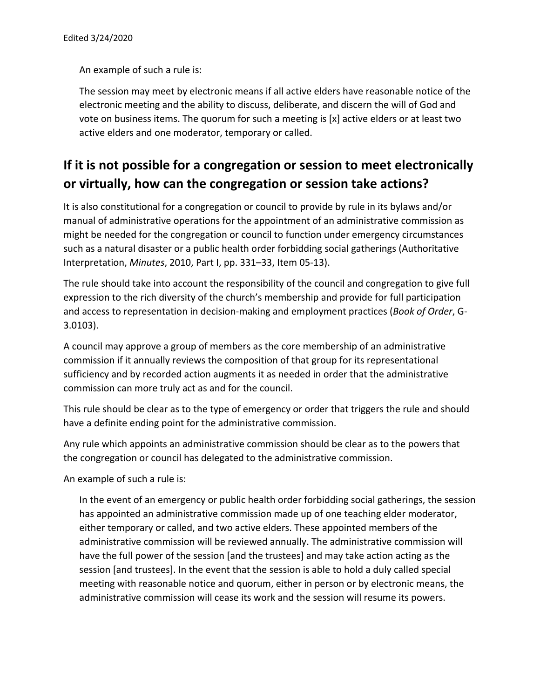An example of such a rule is:

The session may meet by electronic means if all active elders have reasonable notice of the electronic meeting and the ability to discuss, deliberate, and discern the will of God and vote on business items. The quorum for such a meeting is [x] active elders or at least two active elders and one moderator, temporary or called.

#### **If it is not possible for a congregation or session to meet electronically or virtually, how can the congregation or session take actions?**

It is also constitutional for a congregation or council to provide by rule in its bylaws and/or manual of administrative operations for the appointment of an administrative commission as might be needed for the congregation or council to function under emergency circumstances such as a natural disaster or a public health order forbidding social gatherings (Authoritative Interpretation, *Minutes*, 2010, Part I, pp. 331–33, Item 05-13).

The rule should take into account the responsibility of the council and congregation to give full expression to the rich diversity of the church's membership and provide for full participation and access to representation in decision-making and employment practices (*Book of Order*, G-3.0103).

A council may approve a group of members as the core membership of an administrative commission if it annually reviews the composition of that group for its representational sufficiency and by recorded action augments it as needed in order that the administrative commission can more truly act as and for the council.

This rule should be clear as to the type of emergency or order that triggers the rule and should have a definite ending point for the administrative commission.

Any rule which appoints an administrative commission should be clear as to the powers that the congregation or council has delegated to the administrative commission.

An example of such a rule is:

In the event of an emergency or public health order forbidding social gatherings, the session has appointed an administrative commission made up of one teaching elder moderator, either temporary or called, and two active elders. These appointed members of the administrative commission will be reviewed annually. The administrative commission will have the full power of the session [and the trustees] and may take action acting as the session [and trustees]. In the event that the session is able to hold a duly called special meeting with reasonable notice and quorum, either in person or by electronic means, the administrative commission will cease its work and the session will resume its powers.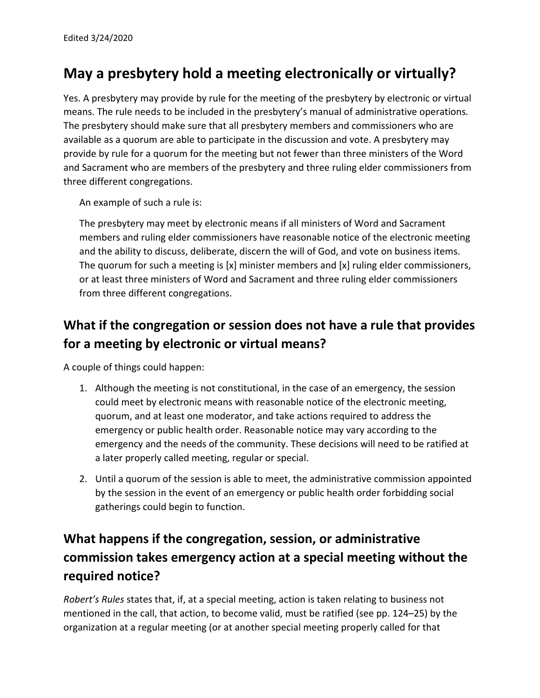# **May a presbytery hold a meeting electronically or virtually?**

Yes. A presbytery may provide by rule for the meeting of the presbytery by electronic or virtual means. The rule needs to be included in the presbytery's manual of administrative operations*.*  The presbytery should make sure that all presbytery members and commissioners who are available as a quorum are able to participate in the discussion and vote. A presbytery may provide by rule for a quorum for the meeting but not fewer than three ministers of the Word and Sacrament who are members of the presbytery and three ruling elder commissioners from three different congregations.

An example of such a rule is:

The presbytery may meet by electronic means if all ministers of Word and Sacrament members and ruling elder commissioners have reasonable notice of the electronic meeting and the ability to discuss, deliberate, discern the will of God, and vote on business items. The quorum for such a meeting is [x] minister members and [x] ruling elder commissioners, or at least three ministers of Word and Sacrament and three ruling elder commissioners from three different congregations.

#### **What if the congregation or session does not have a rule that provides for a meeting by electronic or virtual means?**

A couple of things could happen:

- 1. Although the meeting is not constitutional, in the case of an emergency, the session could meet by electronic means with reasonable notice of the electronic meeting, quorum, and at least one moderator, and take actions required to address the emergency or public health order. Reasonable notice may vary according to the emergency and the needs of the community. These decisions will need to be ratified at a later properly called meeting, regular or special.
- 2. Until a quorum of the session is able to meet, the administrative commission appointed by the session in the event of an emergency or public health order forbidding social gatherings could begin to function.

### **What happens if the congregation, session, or administrative commission takes emergency action at a special meeting without the required notice?**

*Robert's Rules* states that, if, at a special meeting, action is taken relating to business not mentioned in the call, that action, to become valid, must be ratified (see pp. 124–25) by the organization at a regular meeting (or at another special meeting properly called for that